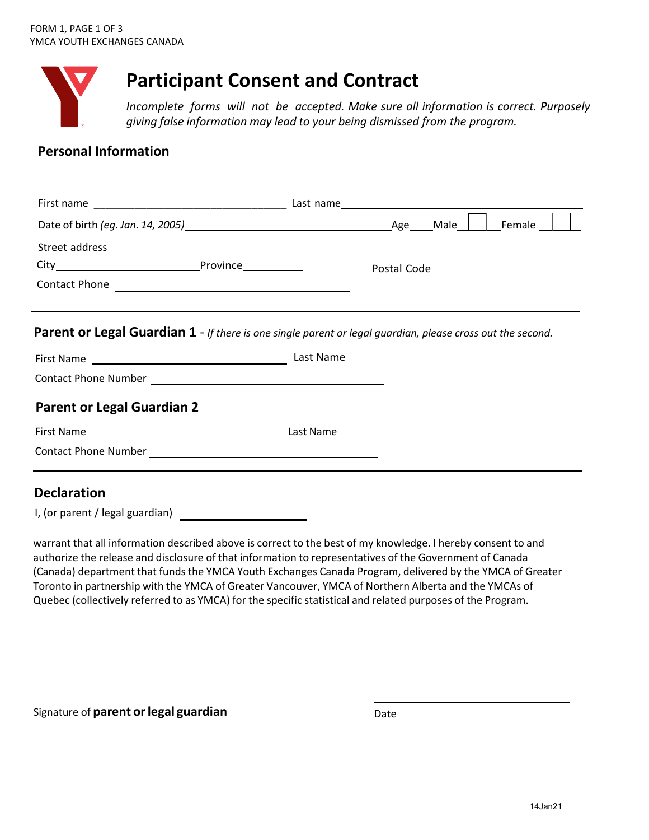

# **Participant Consent and Contract**

*Incomplete forms will not be accepted. Make sure all information is correct. Purposely giving false information may lead to your being dismissed from the program.*

## **Personal Information**

| Parent or Legal Guardian 1 - If there is one single parent or legal guardian, please cross out the second. |  |
|------------------------------------------------------------------------------------------------------------|--|
|                                                                                                            |  |
|                                                                                                            |  |
| <b>Parent or Legal Guardian 2</b>                                                                          |  |
|                                                                                                            |  |
|                                                                                                            |  |
| <b>Declaration</b>                                                                                         |  |

I, (or parent / legal guardian)

warrant that all information described above is correct to the best of my knowledge. I hereby consent to and authorize the release and disclosure of that information to representatives of the Government of Canada (Canada) department that funds the YMCA Youth Exchanges Canada Program, delivered by the YMCA of Greater Toronto in partnership with the YMCA of Greater Vancouver, YMCA of Northern Alberta and the YMCAs of Quebec (collectively referred to as YMCA) for the specific statistical and related purposes of the Program.

Signature of **parent or legal guardian Date**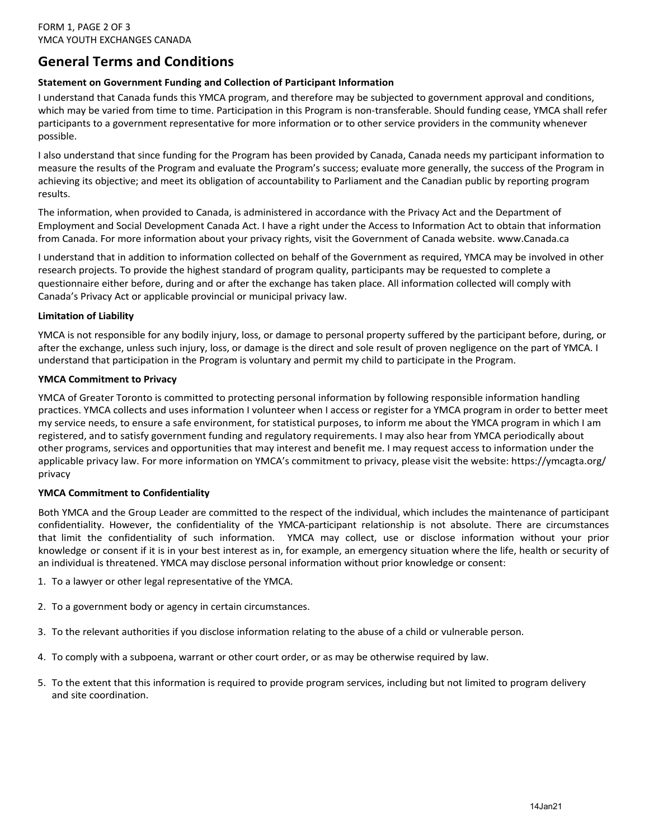## **General Terms and Conditions**

#### **Statement on Government Funding and Collection of Participant Information**

I understand that Canada funds this YMCA program, and therefore may be subjected to government approval and conditions, which may be varied from time to time. Participation in this Program is non-transferable. Should funding cease, YMCA shall refer participants to a government representative for more information or to other service providers in the community whenever possible.

I also understand that since funding for the Program has been provided by Canada, Canada needs my participant information to measure the results of the Program and evaluate the Program's success; evaluate more generally, the success of the Program in achieving its objective; and meet its obligation of accountability to Parliament and the Canadian public by reporting program results.

The information, when provided to Canada, is administered in accordance with the Privacy Act and the Department of Employment and Social Development Canada Act. I have a right under the Access to Information Act to obtain that information from Canada. For more information about your privacy rights, visit the Government of Canada website. [www.Canada.ca](http://www.Canada.ca)

I understand that in addition to information collected on behalf of the Government as required, YMCA may be involved in other research projects. To provide the highest standard of program quality, participants may be requested to complete a questionnaire either before, during and or after the exchange has taken place. All information collected will comply with Canada's Privacy Act or applicable provincial or municipal privacy law.

#### **Limitation of Liability**

YMCA is not responsible for any bodily injury, loss, or damage to personal property suffered by the participant before, during, or after the exchange, unless such injury, loss, or damage is the direct and sole result of proven negligence on the part of YMCA. I understand that participation in the Program is voluntary and permit my child to participate in the Program.

#### **YMCA Commitment to Privacy**

YMCA of Greater Toronto is committed to protecting personal information by following responsible information handling practices. YMCA collects and uses information I volunteer when I access or register for a YMCA program in order to better meet my service needs, to ensure a safe environment, for statistical purposes, to inform me about the YMCA program in which I am registered, and to satisfy government funding and regulatory requirements. I may also hear from YMCA periodically about other programs, services and opportunities that may interest and benefit me. I may request access to information under the [applicable privacy law. For more information on YMCA's commitment to privacy, please visit the website: https://ymcagta.org/](https://ymcagta.org/privacy)  privacy

#### **YMCA Commitment to Confidentiality**

Both YMCA and the Group Leader are committed to the respect of the individual, which includes the maintenance of participant confidentiality. However, the confidentiality of the YMCA-participant relationship is not absolute. There are circumstances that limit the confidentiality of such information. YMCA may collect, use or disclose information without your prior knowledge or consent if it is in your best interest as in, for example, an emergency situation where the life, health or security of an individual is threatened. YMCA may disclose personal information without prior knowledge or consent:

- 1. To a lawyer or other legal representative of the YMCA.
- 2. To a government body or agency in certain circumstances.
- 3. To the relevant authorities if you disclose information relating to the abuse of a child or vulnerable person.
- 4. To comply with a subpoena, warrant or other court order, or as may be otherwise required by law.
- 5. To the extent that this information is required to provide program services, including but not limited to program delivery and site coordination.